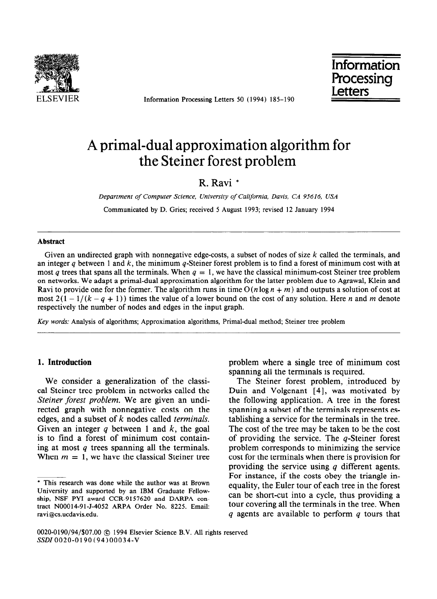

ELSEVIER Information Processing Letters 50 (1994) 185-190

Information Processing **Letters** 

# A primal-dual approximation algorithm for the Steiner forest problem

## R. Ravi \*

*Department of Computer Science, University of California, Davis, CA 95616, USA* 

Communicated by D. Gries; received 5 August 1993; revised 12 January 1994

#### **Abstract**

Given an undirected graph with nonnegative edge-costs, a subset of nodes of size *k* called the terminals, and an integer *q* between 1 and *k*, the minimum *q*-Steiner forest problem is to find a forest of minimum cost with at most *q* trees that spans all the terminals. When  $q = 1$ , we have the classical minimum-cost Steiner tree problem on networks. We adapt a primal-dual approximation algorithm for the latter problem due to Agrawal, Klein and Ravi to provide one for the former. The algorithm runs in time  $O(n \log n + m)$  and outputs a solution of cost at most  $2(1 - 1/(k - q + 1))$  times the value of a lower bound on the cost of any solution. Here *n* and *m* denote respectively the number of nodes and edges in the input graph.

*Key words:* Analysis of algorithms; Approximation algorithms, Primal-dual method; Steiner tree problem

## **1.** Introduction

We consider a generalization of the classical Steiner tree problem in networks called the *Steiner forest problem.* We are given an undirected graph with nonnegative costs on the edges, and a subset of k nodes called *terminals.*  Given an integer *q* between 1 and *k,* the goal is to find a forest of minimum cost containing at most *q* trees spanning all the terminals. When  $m = 1$ , we have the classical Steiner tree problem where a single tree of minimum cost spanning all the terminals is required.

The Steiner forest problem, introduced by Duin and Volgenant [4], was motivated by the following application. A tree in the forest spanning a subset of the terminals represents establishing a service for the terminals in the tree. The cost of the tree may be taken to be the cost of providing the service. The q-Steiner forest problem corresponds to minimizing the service cost for the terminals when there is provision for providing the service using *q* different agents. For instance, if the costs obey the triangle inequality, the Euler tour of each tree in the forest can be short-cut into a cycle, thus providing a tour covering all the terminals in the tree. When *q* agents are available to perform *q* tours that

<sup>\*</sup> This research was done while the author was at Brown University and supported by an IBM Graduate Fellowship, NSF PYI award CCR-9157620 and DARPA contract N00014-91-J-4052 ARPA Order No. 8225. Email: ravi@cs.ucdavis.edu.

<sup>0020-0190/94/\$07.00 @ 1994</sup> Elsevier Science B.V. All rights reserved SSDI0020-0190(94)00034-V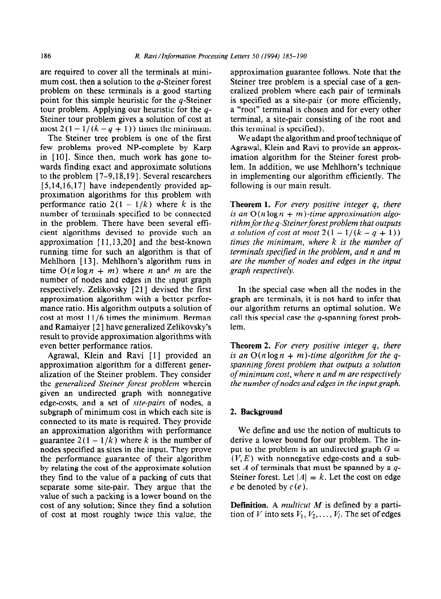are required to cover all the terminals at mini- approximation guarantee follows. Note that the mum cost, then a solution to the q-Steiner forest<br>
Steiner tree problem is a special case of a gen-<br>
problem on these terminals is a good starting<br>
Steiner tree problem where each pair of terminals problem on these terminals is a good starting point for this simple heuristic for the  $q$ -Steiner is specified as a site-pair (or more efficiently, tour problem. Applying our heuristic for the *q-* a "root" terminal is chosen and for every other Steiner tour problem gives a solution of cost at terminal, a site-pair consisting of the root and most  $2(1-1/(k-q+1))$  times the minimum. this terminal is specified).

The Steiner tree problem is one of the first few problems proved NP-complete by Karp in [lo]. Since then, much work has gone towards finding exact and approximate solutions to the problem  $[7-9,18,19]$ . Several researchers  $[5,14,16,17]$  have independently provided approximation algorithms for this problem with performance ratio  $2(1 - 1/k)$  where k is the number of terminals specified to be connected in the problem. There have been several efficient algorithms devised to provide such an approximation  $[11,13,20]$  and the best-known running time for such an algorithm is that of Mehlhorn [13]. Mehlhorn's algorithm runs in time  $O(n \log n + m)$  where *n* and *m* are the number of nodes and edges in the input graph respectively. Zelikovsky [21] devised the first approximation algorithm with a better performance ratio. His algorithm outputs a solution of cost at most  $11/6$  times the minimum. Berman and Ramaiyer [ 21 have generalized Zelikovsky's result to provide approximation algorithms with even better performance ratios.

Agrawal, Klein and Ravi [l] provided an approximation algorithm for a different generalization of the Steiner problem. They consider the *generalized Steiner forest problem* wherein given an undirected graph with nonnegative edge-costs, and a set of *site-pairs* of nodes, a subgraph of minimum cost in which each site is connected to its mate is required. They provide an approximation algorithm with performance guarantee  $2(1 - 1/k)$  where k is the number of nodes specified as sites in the input. They prove the performance guarantee of their algorithm by relating the cost of the approximate solution they find to the value of a packing of cuts that separate some site-pair. They argue that the value of such a packing is a lower bound on the cost of any solution; Since they find a solution of cost at most roughly twice this value, the

We adapt the algorithm and proof technique of Agrawal, Klein and Ravi to provide an approximation algorithm for the Steiner forest problem. In addition, we use Mehlhorn's technique in implementing our algorithm efficiently. The following is our main result.

**Theorem 1.** *For every positive integer q, there*  is an  $O(n \log n + m)$ -time approximation algorithm for the *q*-Steiner forest problem that outputs *a solution of cost at most*  $2(1 - 1/(k - q + 1))$ *times the minimum, where k is the number of terminals specified in the problem, and n and m are the number of nodes and edges in the input graph respectively.* 

In the special case when all the nodes in the graph are terminals, it is not hard to infer that our algorithm returns an optimal solution. We call this special case the  $q$ -spanning forest problem.

**Theorem 2.** *For every positive integer q, there is an O(n log n + m)-time algorithm for the qspanning forest problem that outputs a solution of minimum cost, where n and m are respectively the number of nodes and edges in the input graph.* 

## *2.* **Background**

We define and use the notion of multicuts to derive a lower bound for our problem. The input to the problem is an undirected graph  $G =$  $(V, E)$  with nonnegative edge-costs and a subset A of terminals that must be spanned by a *q-*Steiner forest. Let  $|A| = k$ . Let the cost on edge e be denoted by  $c(e)$ .

Definition. A *multicut M* is defined by a partition of V into sets  $V_1, V_2, \ldots, V_l$ . The set of edges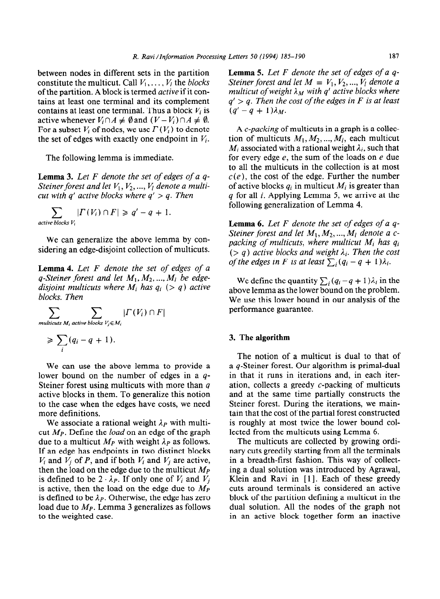between nodes in different sets in the partition constitute the multicut. Call  $V_1, \ldots, V_l$  the *blocks* **of** the partition. A block is termed *active* if it contains at least one terminal and its complement contains at least one terminal. Thus a block  $V_i$  is active whenever  $V_i \cap A \neq \emptyset$  and  $(V - V_i) \cap A \neq \emptyset$ . For a subset  $V_i$  of nodes, we use  $\Gamma(V_i)$  to denote the set of edges with exactly one endpoint in  $V_i$ .

The following lemma is immediate.

**Lemma** 3. *Let F denote the set of edges of a q-Steiner forest and let*  $V_1$ ,  $V_2$ , ...,  $V_l$  *denote a multicut with q' active blocks where q' > q. Then* 

$$
\sum_{\text{active blocks } V_i} | \Gamma(V_i) \cap F | \geqslant q' - q + 1.
$$

We can generalize the above lemma by considering an edge-disjoint collection of multicuts.

**Lemma** 4. *Let F denote the set of edges of a*   $q$ -Steiner forest and let  $M_1, M_2, ..., M_l$  be edge*disjoint multicuts where*  $M_i$  has  $q_i$  (> q) active *blocks. Then* 

$$
\sum_{\text{multicuts }M_i \text{ active blocks }V_j \in M_i} | \Gamma(V_i) \cap F |
$$

$$
\geqslant \sum_i (q_i-q+1).
$$

We can use the above lemma to provide a lower bound on the number of edges in a *q-*Steiner forest using multicuts with more than *q*  active blocks in them. To generalize this notion to the case when the edges have costs, we need more definitions.

We associate a rational weight  $\lambda_P$  with multicut Mp. Define the *load* on an edge of the graph due to a multicut  $M_P$  with weight  $\lambda_P$  as follows. If an edge has endpoints in two distinct blocks  $V_i$  and  $V_j$  of *P*, and if both  $V_i$  and  $V_j$  are active, then the load on the edge due to the multicut *Mp*  is defined to be  $2 \cdot \lambda_P$ . If only one of  $V_i$  and  $V_j$ is active, then the load on the edge due to  $M_P$ is defined to be  $\lambda_P$ . Otherwise, the edge has zero load due to  $M_p$ . Lemma 3 generalizes as follows to the weighted case.

**Lemma 5.** *Let F denote the set of edges of a q-Steiner forest and let*  $M = V_1, V_2, ..., V_l$  denote a *multicut of weight*  $\lambda_M$  *with q' active blocks where q' > q. Then the cost of the edges in F is at least*   $(q' - q + 1)\lambda_M$ .

A *c-packing* of multicuts in a graph is a collection of multicuts  $M_1, M_2, ..., M_l$ , each multicut  $M_i$  associated with a rational weight  $\lambda_i$ , such that for every edge  $e$ , the sum of the loads on  $e$  due to all the multicuts in the collection is at most  $c(e)$ , the cost of the edge. Further the number of active blocks  $q_i$  in multicut  $M_i$  is greater than *q* for all *i.* Applying Lemma 5, we arrive at the following generalization of Lemma 4.

**Lemma 6.** *Let F denote the set of edges of a q-Steiner forest and let*  $M_1, M_2, ..., M_l$  *denote a cpacking of multicuts, where multicut Mi has qi*   $(> q)$  active blocks and weight  $\lambda_i$ . Then the cost *of the edges in F is at least*  $\sum_i (q_i - q + 1)\lambda_i$ .

We define the quantity  $\sum_i (q_i - q + 1) \lambda_i$  in the above lemma as the lower bound on the problem. We use this lower bound in **our analysis of the performance guarantee.** 

#### **3. The algorithm**

The notion of a multicut is dual to that of a q-Steiner forest. Our algorithm is primal-dual in that it runs in iterations and, in each iteration, collects a greedy c-packing of multicuts and at the same time partially constructs the Steiner forest. During the iterations, we maintain that the cost of the partial forest constructed is roughly at most twice the lower bound collected from the multicuts using Lemma 6.

The multicuts are collected by growing ordinary cuts greedily starting from all the terminals in a breadth-first fashion. This way of collecting a dual solution was introduced by Agrawal, Klein and Ravi in [1]. Each of these greedy cuts around terminals is considered an active block of the partition defining a multicut in the dual solution. All the nodes of the graph not in an active block together form an inactive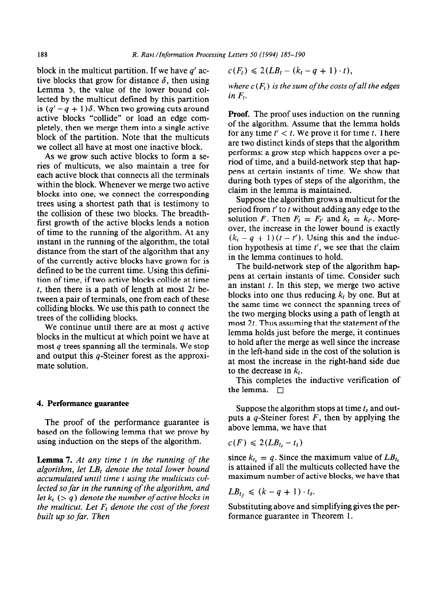block in the multicut partition. If we have *q'* active blocks that grow for distance  $\delta$ , then using Lemma 5, the value of the lower bound collected by the multicut defined by this partition is  $(q'-q+1)\delta$ . When two growing cuts around active blocks "collide" or load an edge completely, then we merge them into a single active block of the partition. Note that the multicuts we collect all have at most one inactive block.

As we grow such active blocks to form a series of multicuts, we also maintain a tree for each active block that connects all the terminals within the block. Whenever we merge two active blocks into one, we connect the corresponding trees using a shortest path that is testimony to the collision of these two blocks. The breadthfirst growth of the active blocks lends a notion of time to the running of the algorithm. At any instant in the running of the algorithm, the total distance from the start of the algorithm that any of the currently active blocks have grown for is defined to be the current time. Using this definition of time, if two active blocks collide at time t, then there is a path of length at most *2t* between a pair of terminals, one from each of these colliding blocks. We use this path to connect the trees of the colliding blocks.

We continue until there are at most *q* active blocks in the multicut at which point we have at most *q* trees spanning all the terminals. We stop and output this q-Steiner forest as the approximate solution.

#### 4. **Performance guarantee**

The proof of the performance guarantee is based on the following lemma that we prove by using induction on the steps of the algorithm.

**Lemma 7.** *At any time t in the running of the*  algorithm, let LB<sub>t</sub> denote the total lower bound *accumulated until time t using the multicuts collected so far in the running of the algorithm, and let*  $k_t$  ( $> q$ ) *denote the number of active blocks in the multicut. Let F, denote the cost of the forest built up so far. Then* 

$$
c(F_t) \leq 2(LB_t - (k_t - q + 1) \cdot t),
$$

*where*  $c(F_t)$  *is the sum of the costs of all the edges*  $in F<sub>t</sub>$ .

**Proof.** The proof uses induction on the running of the algorithm. Assume that the lemma holds for any time  $t' < t$ . We prove it for time t. There are two distinct kinds of steps that the algorithm performs: a grow step which happens over a period of time, and a build-network step that happens at certain instants of time. We show that during both types of steps of the algorithm, the claim in the lemma is maintained.

Suppose the algorithm grows a multicut for the period from  $t'$  to  $t$  without adding any edge to the solution *F*. Then  $F_t = F_{t'}$  and  $k_t = k_{t'}$ . Moreover, the increase in the lower bound is exactly  $(k<sub>t</sub> - q + 1)(t - t')$ . Using this and the induction hypothesis at time *t', we see* that the claim in the lemma continues to hold.

The build-network step of the algorithm happens at certain instants of time. Consider such an instant  $t$ . In this step, we merge two active blocks into one thus reducing  $k_t$  by one. But at the same time we connect the spanning trees of the two merging blocks using a path of length at most *2t.* Thus assuming that the statement of the lemma holds just before the merge, it continues to hold after the merge as well since the increase in the left-hand side in the cost of the solution is at most the increase in the right-hand side due to the decrease in *kr.* 

This completes the inductive verification of the lemma.  $\Box$ 

Suppose the algorithm stops at time  $t_s$  and outputs a q-Steiner forest *F,* then by applying the above lemma, we have that

$$
c(F) \leqslant 2(LB_{t_s}-t_s)
$$

since  $k_{t_s} = q$ . Since the maximum value of  $LB_{t_s}$ is attained if all the multicuts collected have the maximum number of active blocks, we have that

$$
LB_{t_f} \leq (k-q+1) \cdot t_s
$$

Substituting above and simplifying gives the performance guarantee in Theorem 1.